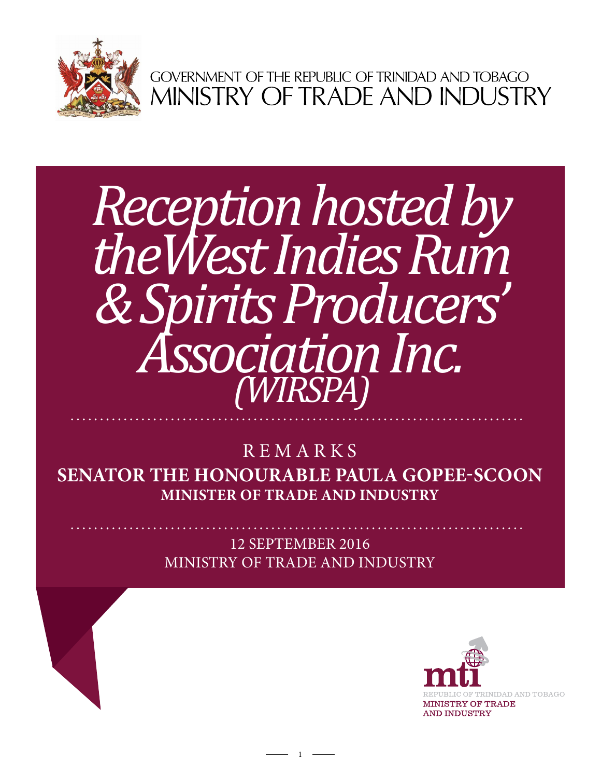

GOVERNMENT OF THE REPUBLIC OF TRINIDAD AND TOBAGO<br>MINISTRY OF TRADE AND INDUSTRY

## *Association Inc.*  $\sqrt{WIRSPA}$ *Reception hosted by theWest Indies Rum & Spirits Producers'*

**Senator the Honourable Paula Gopee-Scoon Minister of Trade and Industry** REMARKS

> 12 september 2016 Ministry of Trade and Industry

> > 1

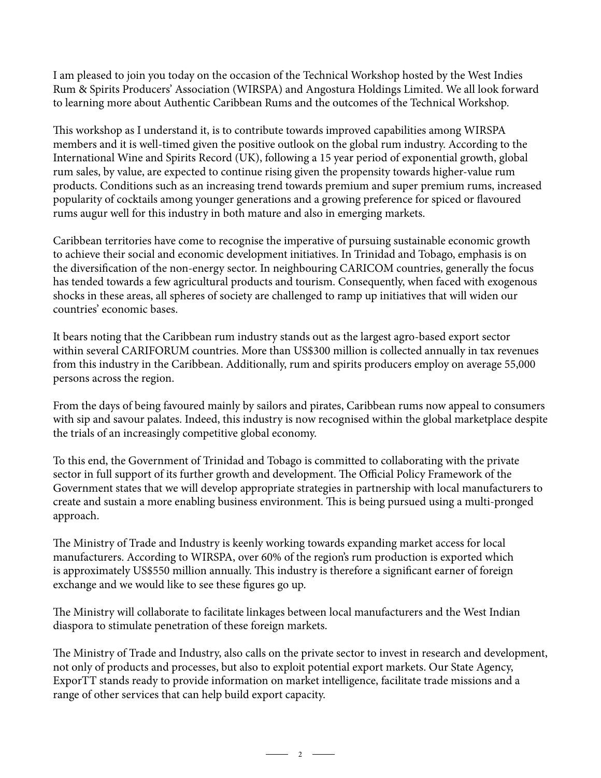I am pleased to join you today on the occasion of the Technical Workshop hosted by the West Indies Rum & Spirits Producers' Association (WIRSPA) and Angostura Holdings Limited. We all look forward to learning more about Authentic Caribbean Rums and the outcomes of the Technical Workshop.

This workshop as I understand it, is to contribute towards improved capabilities among WIRSPA members and it is well-timed given the positive outlook on the global rum industry. According to the International Wine and Spirits Record (UK), following a 15 year period of exponential growth, global rum sales, by value, are expected to continue rising given the propensity towards higher-value rum products. Conditions such as an increasing trend towards premium and super premium rums, increased popularity of cocktails among younger generations and a growing preference for spiced or flavoured rums augur well for this industry in both mature and also in emerging markets.

Caribbean territories have come to recognise the imperative of pursuing sustainable economic growth to achieve their social and economic development initiatives. In Trinidad and Tobago, emphasis is on the diversification of the non-energy sector. In neighbouring CARICOM countries, generally the focus has tended towards a few agricultural products and tourism. Consequently, when faced with exogenous shocks in these areas, all spheres of society are challenged to ramp up initiatives that will widen our countries' economic bases.

It bears noting that the Caribbean rum industry stands out as the largest agro-based export sector within several CARIFORUM countries. More than US\$300 million is collected annually in tax revenues from this industry in the Caribbean. Additionally, rum and spirits producers employ on average 55,000 persons across the region.

From the days of being favoured mainly by sailors and pirates, Caribbean rums now appeal to consumers with sip and savour palates. Indeed, this industry is now recognised within the global marketplace despite the trials of an increasingly competitive global economy.

To this end, the Government of Trinidad and Tobago is committed to collaborating with the private sector in full support of its further growth and development. The Official Policy Framework of the Government states that we will develop appropriate strategies in partnership with local manufacturers to create and sustain a more enabling business environment. This is being pursued using a multi-pronged approach.

The Ministry of Trade and Industry is keenly working towards expanding market access for local manufacturers. According to WIRSPA, over 60% of the region's rum production is exported which is approximately US\$550 million annually. This industry is therefore a significant earner of foreign exchange and we would like to see these figures go up.

The Ministry will collaborate to facilitate linkages between local manufacturers and the West Indian diaspora to stimulate penetration of these foreign markets.

The Ministry of Trade and Industry, also calls on the private sector to invest in research and development, not only of products and processes, but also to exploit potential export markets. Our State Agency, ExporTT stands ready to provide information on market intelligence, facilitate trade missions and a range of other services that can help build export capacity.

 $\overline{\phantom{a}}$  2  $\overline{\phantom{a}}$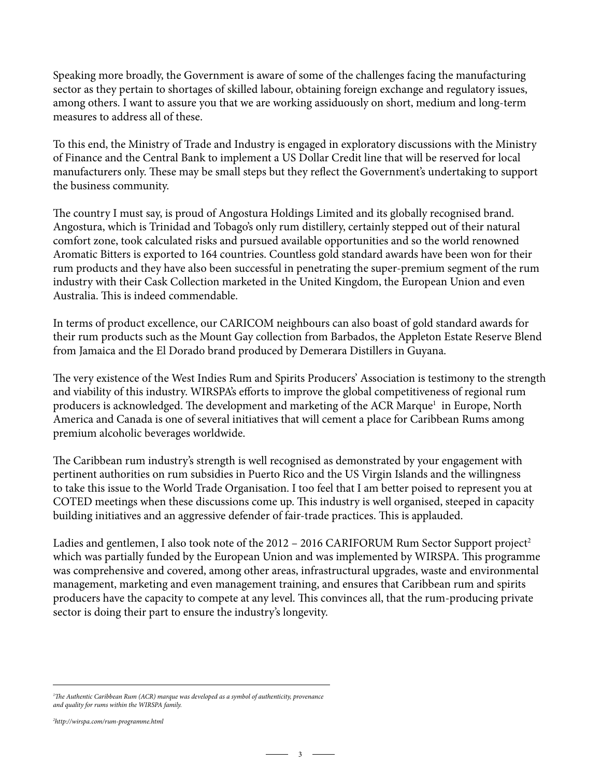Speaking more broadly, the Government is aware of some of the challenges facing the manufacturing sector as they pertain to shortages of skilled labour, obtaining foreign exchange and regulatory issues, among others. I want to assure you that we are working assiduously on short, medium and long-term measures to address all of these.

To this end, the Ministry of Trade and Industry is engaged in exploratory discussions with the Ministry of Finance and the Central Bank to implement a US Dollar Credit line that will be reserved for local manufacturers only. These may be small steps but they reflect the Government's undertaking to support the business community.

The country I must say, is proud of Angostura Holdings Limited and its globally recognised brand. Angostura, which is Trinidad and Tobago's only rum distillery, certainly stepped out of their natural comfort zone, took calculated risks and pursued available opportunities and so the world renowned Aromatic Bitters is exported to 164 countries. Countless gold standard awards have been won for their rum products and they have also been successful in penetrating the super-premium segment of the rum industry with their Cask Collection marketed in the United Kingdom, the European Union and even Australia. This is indeed commendable.

In terms of product excellence, our CARICOM neighbours can also boast of gold standard awards for their rum products such as the Mount Gay collection from Barbados, the Appleton Estate Reserve Blend from Jamaica and the El Dorado brand produced by Demerara Distillers in Guyana.

The very existence of the West Indies Rum and Spirits Producers' Association is testimony to the strength and viability of this industry. WIRSPA's efforts to improve the global competitiveness of regional rum producers is acknowledged. The development and marketing of the ACR Marque<sup>1</sup> in Europe, North America and Canada is one of several initiatives that will cement a place for Caribbean Rums among premium alcoholic beverages worldwide.

The Caribbean rum industry's strength is well recognised as demonstrated by your engagement with pertinent authorities on rum subsidies in Puerto Rico and the US Virgin Islands and the willingness to take this issue to the World Trade Organisation. I too feel that I am better poised to represent you at COTED meetings when these discussions come up. This industry is well organised, steeped in capacity building initiatives and an aggressive defender of fair-trade practices. This is applauded.

Ladies and gentlemen, I also took note of the 2012 – 2016 CARIFORUM Rum Sector Support project<sup>2</sup> which was partially funded by the European Union and was implemented by WIRSPA. This programme was comprehensive and covered, among other areas, infrastructural upgrades, waste and environmental management, marketing and even management training, and ensures that Caribbean rum and spirits producers have the capacity to compete at any level. This convinces all, that the rum-producing private sector is doing their part to ensure the industry's longevity.

*<sup>1</sup> The Authentic Caribbean Rum (ACR) marque was developed as a symbol of authenticity, provenance and quality for rums within the WIRSPA family.*

*<sup>2</sup> http://wirspa.com/rum-programme.html*